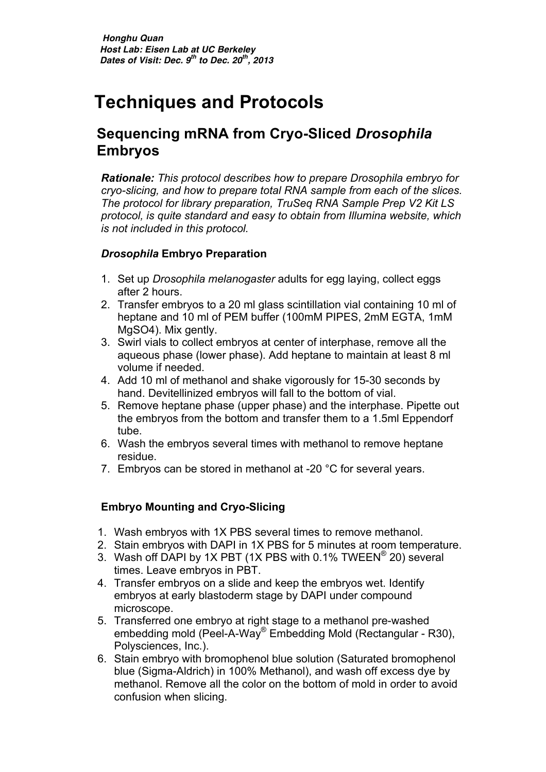# **Techniques and Protocols**

### **Sequencing mRNA from Cryo-Sliced** *Drosophila*  **Embryos**

*Rationale: This protocol describes how to prepare Drosophila embryo for cryo-slicing, and how to prepare total RNA sample from each of the slices. The protocol for library preparation, TruSeq RNA Sample Prep V2 Kit LS protocol, is quite standard and easy to obtain from Illumina website, which is not included in this protocol.* 

#### *Drosophila* **Embryo Preparation**

- 1. Set up *Drosophila melanogaster* adults for egg laying, collect eggs after 2 hours.
- 2. Transfer embryos to a 20 ml glass scintillation vial containing 10 ml of heptane and 10 ml of PEM buffer (100mM PIPES, 2mM EGTA, 1mM MgSO4). Mix gently.
- 3. Swirl vials to collect embryos at center of interphase, remove all the aqueous phase (lower phase). Add heptane to maintain at least 8 ml volume if needed.
- 4. Add 10 ml of methanol and shake vigorously for 15-30 seconds by hand. Devitellinized embryos will fall to the bottom of vial.
- 5. Remove heptane phase (upper phase) and the interphase. Pipette out the embryos from the bottom and transfer them to a 1.5ml Eppendorf tube.
- 6. Wash the embryos several times with methanol to remove heptane residue.
- 7. Embryos can be stored in methanol at -20 °C for several years.

#### **Embryo Mounting and Cryo-Slicing**

- 1. Wash embryos with 1X PBS several times to remove methanol.
- 2. Stain embryos with DAPI in 1X PBS for 5 minutes at room temperature.
- 3. Wash off DAPI by 1X PBT (1X PBS with 0.1% TWEEN® 20) several times. Leave embryos in PBT.
- 4. Transfer embryos on a slide and keep the embryos wet. Identify embryos at early blastoderm stage by DAPI under compound microscope.
- 5. Transferred one embryo at right stage to a methanol pre-washed embedding mold (Peel-A-Way® Embedding Mold (Rectangular - R30), Polysciences, Inc.).
- 6. Stain embryo with bromophenol blue solution (Saturated bromophenol blue (Sigma-Aldrich) in 100% Methanol), and wash off excess dye by methanol. Remove all the color on the bottom of mold in order to avoid confusion when slicing.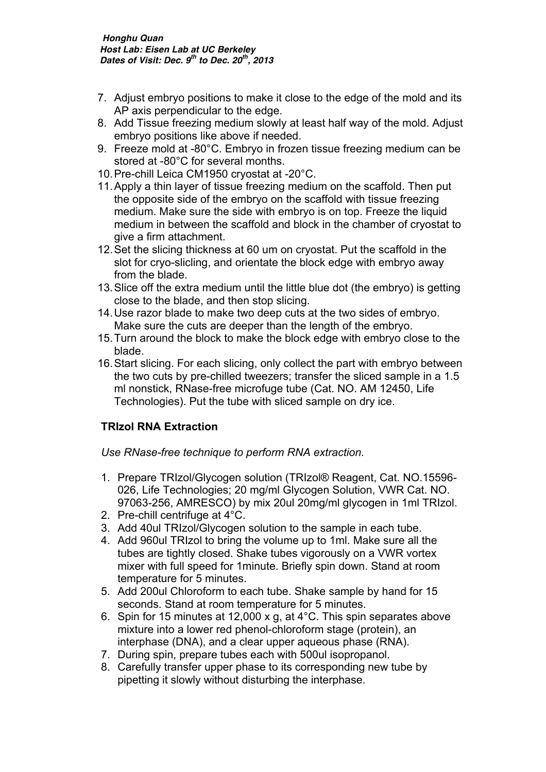- 7. Adjust embryo positions to make it close to the edge of the mold and its AP axis perpendicular to the edge.
- 8. Add Tissue freezing medium slowly at least half way of the mold. Adjust embryo positions like above if needed.
- 9. Freeze mold at -80°C. Embryo in frozen tissue freezing medium can be stored at -80°C for several months.
- 10.Pre-chill Leica CM1950 cryostat at -20°C.
- 11.Apply a thin layer of tissue freezing medium on the scaffold. Then put the opposite side of the embryo on the scaffold with tissue freezing medium. Make sure the side with embryo is on top. Freeze the liquid medium in between the scaffold and block in the chamber of cryostat to give a firm attachment.
- 12.Set the slicing thickness at 60 um on cryostat. Put the scaffold in the slot for cryo-slicling, and orientate the block edge with embryo away from the blade.
- 13.Slice off the extra medium until the little blue dot (the embryo) is getting close to the blade, and then stop slicing.
- 14.Use razor blade to make two deep cuts at the two sides of embryo. Make sure the cuts are deeper than the length of the embryo.
- 15.Turn around the block to make the block edge with embryo close to the blade.
- 16.Start slicing. For each slicing, only collect the part with embryo between the two cuts by pre-chilled tweezers; transfer the sliced sample in a 1.5 ml nonstick, RNase-free microfuge tube (Cat. NO. AM 12450, Life Technologies). Put the tube with sliced sample on dry ice.

#### **TRIzol RNA Extraction**

*Use RNase-free technique to perform RNA extraction.* 

- 1. Prepare TRIzol/Glycogen solution (TRIzol® Reagent, Cat. NO.15596- 026, Life Technologies; 20 mg/ml Glycogen Solution, VWR Cat. NO. 97063-256, AMRESCO) by mix 20ul 20mg/ml glycogen in 1ml TRIzol.
- 2. Pre-chill centrifuge at 4°C.
- 3. Add 40ul TRIzol/Glycogen solution to the sample in each tube.
- 4. Add 960ul TRIzol to bring the volume up to 1ml. Make sure all the tubes are tightly closed. Shake tubes vigorously on a VWR vortex mixer with full speed for 1minute. Briefly spin down. Stand at room temperature for 5 minutes.
- 5. Add 200ul Chloroform to each tube. Shake sample by hand for 15 seconds. Stand at room temperature for 5 minutes.
- 6. Spin for 15 minutes at 12,000 x g, at 4°C. This spin separates above mixture into a lower red phenol-chloroform stage (protein), an interphase (DNA), and a clear upper aqueous phase (RNA).
- 7. During spin, prepare tubes each with 500ul isopropanol.
- 8. Carefully transfer upper phase to its corresponding new tube by pipetting it slowly without disturbing the interphase.